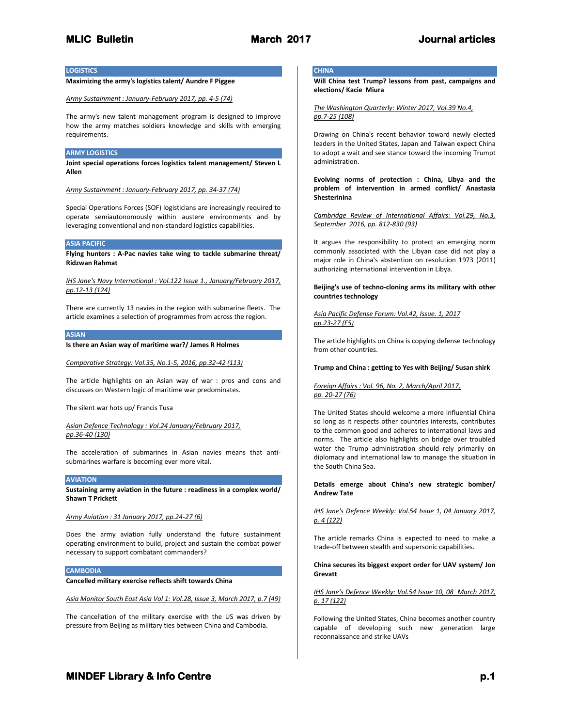# **LOGISTICS**

# **Maximizing the army's logistics talent/ Aundre F Piggee**

*Army Sustainment : January-February 2017, pp. 4-5 (74)*

The army's new talent management program is designed to improve how the army matches soldiers knowledge and skills with emerging requirements.

## **ARMY LOGISTICS**

**Joint special operations forces logistics talent management/ Steven L Allen**

*Army Sustainment : January-February 2017, pp. 34-37 (74)*

Special Operations Forces (SOF) logisticians are increasingly required to operate semiautonomously within austere environments and by leveraging conventional and non-standard logistics capabilities.

## **ASIA PACIFIC**

**Flying hunters : A-Pac navies take wing to tackle submarine threat/ Ridzwan Rahmat**

*IHS Jane's Navy International : Vol.122 Issue 1., January/February 2017, pp.12-13 (124)*

There are currently 13 navies in the region with submarine fleets. The article examines a selection of programmes from across the region.

## **ASIAN**

**Is there an Asian way of maritime war?/ James R Holmes**

*Comparative Strategy: Vol.35, No.1-5, 2016, pp.32-42 (113)*

The article highlights on an Asian way of war : pros and cons and discusses on Western logic of maritime war predominates.

The silent war hots up/ Francis Tusa

## *Asian Defence Technology : Vol.24 January/February 2017, pp.36-40 (130)*

The acceleration of submarines in Asian navies means that antisubmarines warfare is becoming ever more vital.

## **AVIATION**

**Sustaining army aviation in the future : readiness in a complex world/ Shawn T Prickett**

# *Army Aviation : 31 January 2017, pp.24-27 (6)*

Does the army aviation fully understand the future sustainment operating environment to build, project and sustain the combat power necessary to support combatant commanders?

## **CAMBODIA**

**Cancelled military exercise reflects shift towards China**

*Asia Monitor South East Asia Vol 1: Vol.28, Issue 3, March 2017, p.7 (49)*

The cancellation of the military exercise with the US was driven by pressure from Beijing as military ties between China and Cambodia.

# **CHINA**

**Will China test Trump? lessons from past, campaigns and elections/ Kacie Miura**

*The Washington Quarterly: Winter 2017, Vol.39 No.4, pp.7-25 (108)*

Drawing on China's recent behavior toward newly elected leaders in the United States, Japan and Taiwan expect China to adopt a wait and see stance toward the incoming Trumpt administration.

**Evolving norms of protection : China, Libya and the problem of intervention in armed conflict/ Anastasia Shesterinina**

*Cambridge Review of International Affairs: Vol.29, No.3, September 2016, pp. 812-830 (93)*

It argues the responsibility to protect an emerging norm commonly associated with the Libyan case did not play a major role in China's abstention on resolution 1973 (2011) authorizing international intervention in Libya.

**Beijing's use of techno-cloning arms its military with other countries technology**

## *Asia Pacific Defense Forum: Vol.42, Issue. 1, 2017 pp.23-27 (F5)*

The article highlights on China is copying defense technology from other countries.

## **Trump and China : getting to Yes with Beijing/ Susan shirk**

## *Foreign Affairs : Vol. 96, No. 2, March/April 2017, pp. 20-27 (76)*

The United States should welcome a more influential China so long as it respects other countries interests, contributes to the common good and adheres to international laws and norms. The article also highlights on bridge over troubled water the Trump administration should rely primarily on diplomacy and international law to manage the situation in the South China Sea.

## **Details emerge about China's new strategic bomber/ Andrew Tate**

*IHS Jane's Defence Weekly: Vol.54 Issue 1, 04 January 2017, p. 4 (122)*

The article remarks China is expected to need to make a trade-off between stealth and supersonic capabilities.

## **China secures its biggest export order for UAV system/ Jon Grevatt**

## *IHS Jane's Defence Weekly: Vol.54 Issue 10, 08 March 2017, p. 17 (122)*

Following the United States, China becomes another country capable of developing such new generation large reconnaissance and strike UAVs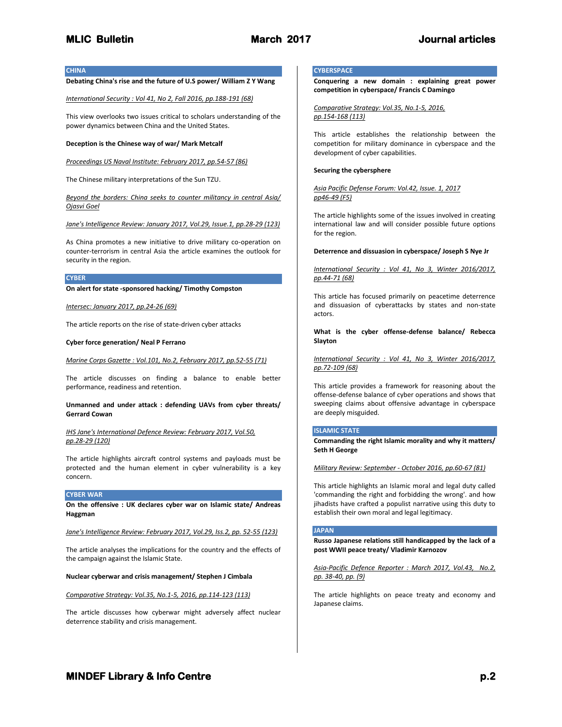**CHINA**

# **Debating China's rise and the future of U.S power/ William Z Y Wang**

#### *International Security : Vol 41, No 2, Fall 2016, pp.188-191 (68)*

This view overlooks two issues critical to scholars understanding of the power dynamics between China and the United States.

## **Deception is the Chinese way of war/ Mark Metcalf**

*Proceedings US Naval Institute: February 2017, pp.54-57 (86)*

The Chinese military interpretations of the Sun TZU.

*Beyond the borders: China seeks to counter militancy in central Asia/ Ojasvi Goel*

*Jane's Intelligence Review: January 2017, Vol.29, Issue.1, pp.28-29 (123)*

As China promotes a new initiative to drive military co-operation on counter-terrorism in central Asia the article examines the outlook for security in the region.

#### **CYBER**

**On alert for state -sponsored hacking/ Timothy Compston**

#### *Intersec: January 2017, pp.24-26 (69)*

The article reports on the rise of state-driven cyber attacks

#### **Cyber force generation/ Neal P Ferrano**

*Marine Corps Gazette : Vol.101, No.2, February 2017, pp.52-55 (71)*

The article discusses on finding a balance to enable better performance, readiness and retention.

**Unmanned and under attack : defending UAVs from cyber threats/ Gerrard Cowan**

*IHS Jane's International Defence Review: February 2017, Vol.50, pp.28-29 (120)*

The article highlights aircraft control systems and payloads must be protected and the human element in cyber vulnerability is a key concern.

## **CYBER WAR**

**On the offensive : UK declares cyber war on Islamic state/ Andreas Haggman**

*Jane's Intelligence Review: February 2017, Vol.29, Iss.2, pp. 52-55 (123)*

The article analyses the implications for the country and the effects of the campaign against the Islamic State.

#### **Nuclear cyberwar and crisis management/ Stephen J Cimbala**

*Comparative Strategy: Vol.35, No.1-5, 2016, pp.114-123 (113)*

The article discusses how cyberwar might adversely affect nuclear deterrence stability and crisis management.

# **CYBERSPACE**

**Conquering a new domain : explaining great power competition in cyberspace/ Francis C Damingo**

*Comparative Strategy: Vol.35, No.1-5, 2016, pp.154-168 (113)*

This article establishes the relationship between the competition for military dominance in cyberspace and the development of cyber capabilities.

## **Securing the cybersphere**

*Asia Pacific Defense Forum: Vol.42, Issue. 1, 2017 pp46-49 (F5)*

The article highlights some of the issues involved in creating international law and will consider possible future options for the region.

## **Deterrence and dissuasion in cyberspace/ Joseph S Nye Jr**

*International Security : Vol 41, No 3, Winter 2016/2017, pp.44-71 (68)*

This article has focused primarily on peacetime deterrence and dissuasion of cyberattacks by states and non-state actors.

**What is the cyber offense-defense balance/ Rebecca Slayton**

*International Security : Vol 41, No 3, Winter 2016/2017, pp.72-109 (68)*

This article provides a framework for reasoning about the offense-defense balance of cyber operations and shows that sweeping claims about offensive advantage in cyberspace are deeply misguided.

## **ISLAMIC STATE**

**Commanding the right Islamic morality and why it matters/ Seth H George**

*Military Review: September - October 2016, pp.60-67 (81)*

This article highlights an Islamic moral and legal duty called 'commanding the right and forbidding the wrong'. and how jihadists have crafted a populist narrative using this duty to establish their own moral and legal legitimacy.

## **JAPAN**

**Russo Japanese relations still handicapped by the lack of a post WWII peace treaty/ Vladimir Karnozov**

*Asia-Pacific Defence Reporter : March 2017, Vol.43, No.2, pp. 38-40, pp. (9)*

The article highlights on peace treaty and economy and Japanese claims.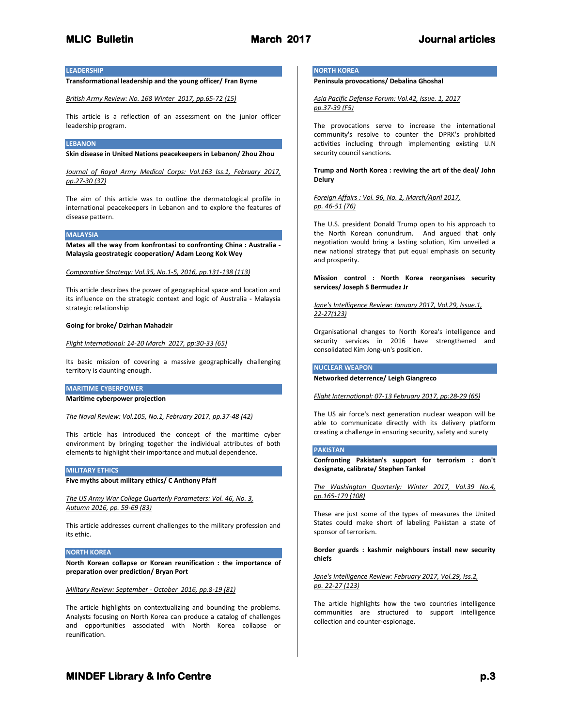# **LEADERSHIP**

# **Transformational leadership and the young officer/ Fran Byrne**

*British Army Review: No. 168 Winter 2017, pp.65-72 (15)*

This article is a reflection of an assessment on the junior officer leadership program.

## **LEBANON**

**Skin disease in United Nations peacekeepers in Lebanon/ Zhou Zhou**

*Journal of Royal Army Medical Corps: Vol.163 Iss.1, February 2017, pp.27-30 (37)*

The aim of this article was to outline the dermatological profile in international peacekeepers in Lebanon and to explore the features of disease pattern.

#### **MALAYSIA**

**Mates all the way from konfrontasi to confronting China : Australia - Malaysia geostrategic cooperation/ Adam Leong Kok Wey**

*Comparative Strategy: Vol.35, No.1-5, 2016, pp.131-138 (113)*

This article describes the power of geographical space and location and its influence on the strategic context and logic of Australia - Malaysia strategic relationship

#### **Going for broke/ Dzirhan Mahadzir**

*Flight International: 14-20 March 2017, pp:30-33 (65)*

Its basic mission of covering a massive geographically challenging territory is daunting enough.

#### **MARITIME CYBERPOWER**

**Maritime cyberpower projection**

*The Naval Review: Vol.105, No.1, February 2017, pp.37-48 (42)*

This article has introduced the concept of the maritime cyber environment by bringing together the individual attributes of both elements to highlight their importance and mutual dependence.

## **MILITARY ETHICS**

**Five myths about military ethics/ C Anthony Pfaff**

*The US Army War College Quarterly Parameters: Vol. 46, No. 3, Autumn 2016, pp. 59-69 (83)*

This article addresses current challenges to the military profession and its ethic.

## **NORTH KOREA**

**North Korean collapse or Korean reunification : the importance of preparation over prediction/ Bryan Port**

## *Military Review: September - October 2016, pp.8-19 (81)*

The article highlights on contextualizing and bounding the problems. Analysts focusing on North Korea can produce a catalog of challenges and opportunities associated with North Korea collapse or reunification.

## **NORTH KOREA**

**Peninsula provocations/ Debalina Ghoshal**

*Asia Pacific Defense Forum: Vol.42, Issue. 1, 2017 pp.37-39 (F5)*

The provocations serve to increase the international community's resolve to counter the DPRK's prohibited activities including through implementing existing U.N security council sanctions.

# **Trump and North Korea : reviving the art of the deal/ John Delury**

*Foreign Affairs : Vol. 96, No. 2, March/April 2017, pp. 46-51 (76)*

The U.S. president Donald Trump open to his approach to the North Korean conundrum. And argued that only negotiation would bring a lasting solution, Kim unveiled a new national strategy that put equal emphasis on security and prosperity.

**Mission control : North Korea reorganises security services/ Joseph S Bermudez Jr**

*Jane's Intelligence Review: January 2017, Vol.29, Issue.1, 22-27(123)*

Organisational changes to North Korea's intelligence and security services in 2016 have strengthened and consolidated Kim Jong-un's position.

#### **NUCLEAR WEAPON**

**Networked deterrence/ Leigh Giangreco**

*Flight International: 07-13 February 2017, pp:28-29 (65)*

The US air force's next generation nuclear weapon will be able to communicate directly with its delivery platform creating a challenge in ensuring security, safety and surety

## **PAKISTAN**

**Confronting Pakistan's support for terrorism : don't designate, calibrate/ Stephen Tankel**

*The Washington Quarterly: Winter 2017, Vol.39 No.4, pp.165-179 (108)*

These are just some of the types of measures the United States could make short of labeling Pakistan a state of sponsor of terrorism.

**Border guards : kashmir neighbours install new security chiefs**

## *Jane's Intelligence Review: February 2017, Vol.29, Iss.2, pp. 22-27 (123)*

The article highlights how the two countries intelligence communities are structured to support intelligence collection and counter-espionage.